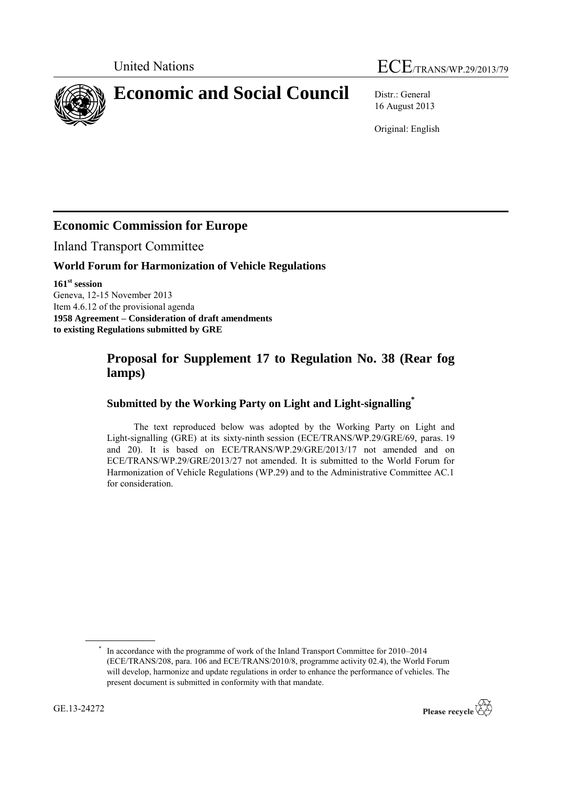# United Nations ECE/TRANS/WP.29/2013/79

**Economic and Social Council** Distr.: General

16 August 2013

Original: English

# **Economic Commission for Europe**

Inland Transport Committee

### **World Forum for Harmonization of Vehicle Regulations**

**161 st session** Geneva, 12-15 November 2013 Item 4.6.12 of the provisional agenda **1958 Agreement – Consideration of draft amendments to existing Regulations submitted by GRE**

# **Proposal for Supplement 17 to Regulation No. 38 (Rear fog lamps)**

## **Submitted by the Working Party on Light and Light-signalling\***

The text reproduced below was adopted by the Working Party on Light and Light-signalling (GRE) at its sixty-ninth session (ECE/TRANS/WP.29/GRE/69, paras. 19 and 20). It is based on ECE/TRANS/WP.29/GRE/2013/17 not amended and on ECE/TRANS/WP.29/GRE/2013/27 not amended. It is submitted to the World Forum for Harmonization of Vehicle Regulations (WP.29) and to the Administrative Committee AC.1 for consideration.



<sup>\*</sup> In accordance with the programme of work of the Inland Transport Committee for 2010–2014 (ECE/TRANS/208, para. 106 and ECE/TRANS/2010/8, programme activity 02.4), the World Forum will develop, harmonize and update regulations in order to enhance the performance of vehicles. The present document is submitted in conformity with that mandate.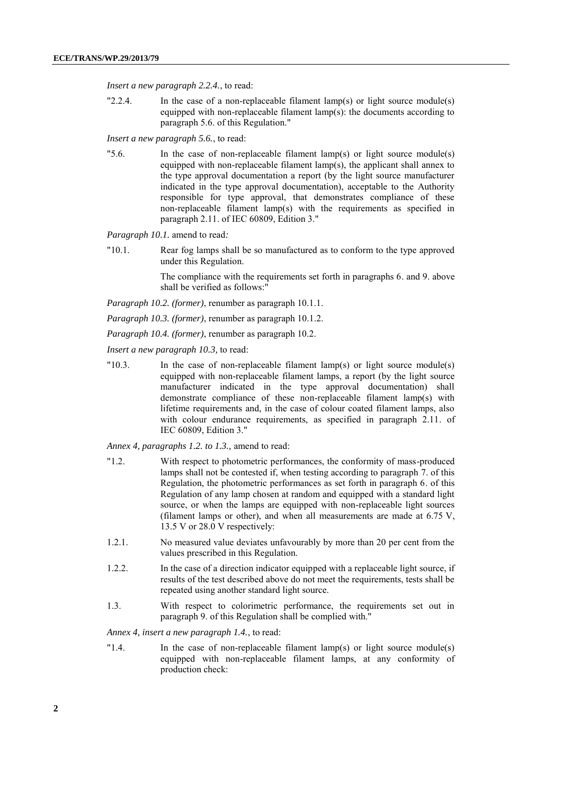*Insert a new paragraph 2.2.4.*, to read:

"2.2.4. In the case of a non-replaceable filament lamp(s) or light source module(s) equipped with non-replaceable filament lamp(s): the documents according to paragraph 5.6. of this Regulation."

*Insert a new paragraph 5.6.*, to read:

"5.6. In the case of non-replaceable filament lamp(s) or light source module(s) equipped with non-replaceable filament lamp(s), the applicant shall annex to the type approval documentation a report (by the light source manufacturer indicated in the type approval documentation), acceptable to the Authority responsible for type approval, that demonstrates compliance of these non-replaceable filament lamp(s) with the requirements as specified in paragraph 2.11. of IEC 60809, Edition 3."

*Paragraph 10.1.* amend to read*:*

"10.1. Rear fog lamps shall be so manufactured as to conform to the type approved under this Regulation.

> The compliance with the requirements set forth in paragraphs 6. and 9. above shall be verified as follows:"

*Paragraph 10.2. (former)*, renumber as paragraph 10.1.1.

*Paragraph 10.3. (former)*, renumber as paragraph 10.1.2.

*Paragraph 10.4. (former)*, renumber as paragraph 10.2.

*Insert a new paragraph 10.3,* to read:

"10.3. In the case of non-replaceable filament lamp(s) or light source module(s) equipped with non-replaceable filament lamps, a report (by the light source manufacturer indicated in the type approval documentation) shall demonstrate compliance of these non-replaceable filament lamp(s) with lifetime requirements and, in the case of colour coated filament lamps, also with colour endurance requirements, as specified in paragraph 2.11. of IEC 60809, Edition 3."

*Annex 4, paragraphs 1.2. to 1.3.,* amend to read:

- "1.2. With respect to photometric performances, the conformity of mass-produced lamps shall not be contested if, when testing according to paragraph 7. of this Regulation, the photometric performances as set forth in paragraph 6. of this Regulation of any lamp chosen at random and equipped with a standard light source, or when the lamps are equipped with non-replaceable light sources (filament lamps or other), and when all measurements are made at 6.75 V, 13.5 V or 28.0 V respectively:
- 1.2.1. No measured value deviates unfavourably by more than 20 per cent from the values prescribed in this Regulation.
- 1.2.2. In the case of a direction indicator equipped with a replaceable light source, if results of the test described above do not meet the requirements, tests shall be repeated using another standard light source.
- 1.3. With respect to colorimetric performance, the requirements set out in paragraph 9. of this Regulation shall be complied with."

*Annex 4, insert a new paragraph 1.4.*, to read:

"1.4. In the case of non-replaceable filament lamp(s) or light source module(s) equipped with non-replaceable filament lamps, at any conformity of production check: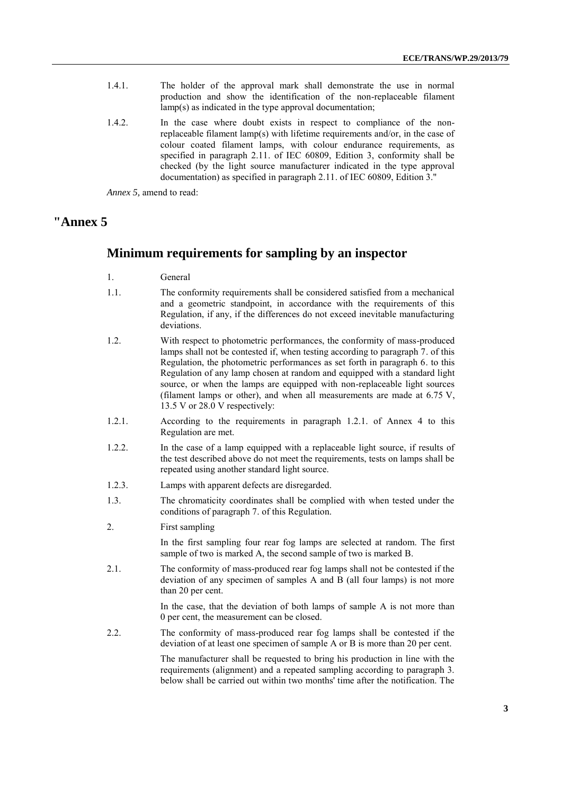- 1.4.1. The holder of the approval mark shall demonstrate the use in normal production and show the identification of the non-replaceable filament lamp(s) as indicated in the type approval documentation;
- 1.4.2. In the case where doubt exists in respect to compliance of the nonreplaceable filament lamp(s) with lifetime requirements and/or, in the case of colour coated filament lamps, with colour endurance requirements, as specified in paragraph 2.11. of IEC 60809, Edition 3, conformity shall be checked (by the light source manufacturer indicated in the type approval documentation) as specified in paragraph 2.11. of IEC 60809, Edition 3."

*Annex 5,* amend to read:

#### **"Annex 5**

#### **Minimum requirements for sampling by an inspector**

- 1. General
- 1.1. The conformity requirements shall be considered satisfied from a mechanical and a geometric standpoint, in accordance with the requirements of this Regulation, if any, if the differences do not exceed inevitable manufacturing deviations.
- 1.2. With respect to photometric performances, the conformity of mass-produced lamps shall not be contested if, when testing according to paragraph 7. of this Regulation, the photometric performances as set forth in paragraph 6. to this Regulation of any lamp chosen at random and equipped with a standard light source, or when the lamps are equipped with non-replaceable light sources (filament lamps or other), and when all measurements are made at 6.75 V, 13.5 V or 28.0 V respectively:
- 1.2.1. According to the requirements in paragraph 1.2.1. of Annex 4 to this Regulation are met.
- 1.2.2. In the case of a lamp equipped with a replaceable light source, if results of the test described above do not meet the requirements, tests on lamps shall be repeated using another standard light source.
- 1.2.3. Lamps with apparent defects are disregarded.
- 1.3. The chromaticity coordinates shall be complied with when tested under the conditions of paragraph 7. of this Regulation.
- 2. First sampling

In the first sampling four rear fog lamps are selected at random. The first sample of two is marked A, the second sample of two is marked B.

2.1. The conformity of mass-produced rear fog lamps shall not be contested if the deviation of any specimen of samples A and B (all four lamps) is not more than 20 per cent.

> In the case, that the deviation of both lamps of sample A is not more than 0 per cent, the measurement can be closed.

2.2. The conformity of mass-produced rear fog lamps shall be contested if the deviation of at least one specimen of sample A or B is more than 20 per cent.

> The manufacturer shall be requested to bring his production in line with the requirements (alignment) and a repeated sampling according to paragraph 3. below shall be carried out within two months' time after the notification. The